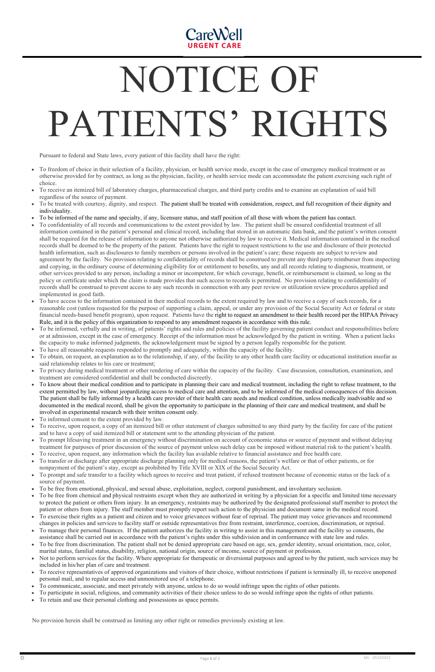

## NOTICE OF PATIENTS' RIGHTS

Pursuant to federal and State laws, every patient of this facility shall have the right:

- $\bullet$  To freedom of choice in their selection of a facility, physician, or health service mode, except in the case of emergency medical treatment or as otherwise provided for by contract, as long as the physician, facility, or health service mode can accommodate the patient exercising such right of choice.
- . To receive an itemized bill of laboratory charges, pharmaceutical charges, and third party credits and to examine an explanation of said bill regardless of the source of payment.
- . To be treated with courtesy, dignity, and respect. The patient shall be treated with consideration, respect, and full recognition of their dignity and individuality.
- . To be informed of the name and specialty, if any, licensure status, and staff position of all those with whom the patient has contact.
- . To confidentiality of all records and communications to the extent provided by law. The patient shall be ensured confidential treatment of all information contained in the patient's personal and clinical record, including that stored in an automatic data bank, and the patient's written consent shall be required for the release of information to anyone not otherwise authorized by law to receive it. Medical information contained in the medical records shall be deemed to be the property of the patient. Patients have the right to request restrictions to the use and disclosure of their protected health information, such as disclosures to family members or persons involved in the patient's care; these requests are subject to review and agreement by the facility. No provision relating to confidentiality of records shall be construed to prevent any third party reimburser from inspecting and copying, in the ordinary course of determining eligibility for or entitlement to benefits, any and all records relating to diagnosis, treatment, or other services provided to any person, including a minor or incompetent, for which coverage, benefit, or reimbursement is claimed, so long as the policy or certificate under which the claim is made provides that such access to records is permitted. No provision relating to confidentiality of records shall be construed to prevent access to any such records in connection with any peer review or utilization review procedures applied and implemented in good faith.
- $\bullet$  To have access to the information contained in their medical records to the extent required by law and to receive a copy of such records, for a reasonable cost (unless requested for the purpose of supporting a claim, appeal, or under any provision of the Social Security Act or federal or state financial needs-based benefit program), upon request. Patients have the right to request an amendment to their health record per the HIPAA Privacy Rule, and it is the policy of this organization to respond to any amendment requests in accordance with this rule.
- . To be informed, verbally and in writing, of patients' rights and rules and policies of the facility governing patient conduct and responsibilities before or at admission, except in the case of emergency. Receipt of the information must be acknowledged by the patient in writing. When a patient lacks the capacity to make informed judgments, the acknowledgement must be signed by a person legally responsible for the patient.
- $\bullet$ To have all reasonable requests responded to promptly and adequately, within the capacity of the facility.
- $\bullet$  To obtain, on request, an explanation as to the relationship, if any, of the facility to any other health care facility or educational institution insofar as said relationship relates to his care or treatment;
- . To privacy during medical treatment or other rendering of care within the capacity of the facility. Case discussion, consultation, examination, and treatment are considered confidential and shall be conducted discreetly.
- . To know about their medical condition and to participate in planning their care and medical treatment, including the right to refuse treatment, to the extent permitted by law, without jeopardizing access to medical care and attention, and to be informed of the medical consequences of this decision. The patient shall be fully informed by a health care provider of their health care needs and medical condition, unless medically inadvisable and so documented in the medical record, shall be given the opportunity to participate in the planning of their care and medical treatment, and shall be involved in experimental research with their written consent only.
- $\bullet$ To informed consent to the extent provided by law.
- . To receive, upon request, a copy of an itemized bill or other statement of charges submitted to any third party by the facility for care of the patient and to have a copy of said itemized bill or statement sent to the attending physician of the patient.
- $\bullet$  To prompt lifesaving treatment in an emergency without discrimination on account of economic status or source of payment and without delaying treatment for purposes of prior discussion of the source of payment unless such delay can be imposed without material risk to the patient's health.
- $\bullet$ To receive, upon request, any information which the facility has available relative to financial assistance and free health care.
- . To transfer or discharge after appropriate discharge planning only for medical reasons, the patient's welfare or that of other patients, or for nonpayment of the patient's stay, except as prohibited by Title XVIII or XIX of the Social Security Act.
- . To prompt and safe transfer to a facility which agrees to receive and treat patient, if refused treatment because of economic status or the lack of a source of payment.
- . To be free from emotional, physical, and sexual abuse, exploitation, neglect, corporal punishment, and involuntary seclusion.
- . To be free from chemical and physical restraints except when they are authorized in writing by a physician for a specific and limited time necessary to protect the patient or others from injury. In an emergency, restraints may be authorized by the designated professional staff member to protect the patient or others from injury. The staff member must promptly report such action to the physician and document same in the medical record.
- $\bullet$  To exercise their rights as a patient and citizen and to voice grievances without fear of reprisal. The patient may voice grievances and recommend changes in policies and services to facility staff or outside representatives free from restraint, interference, coercion, discrimination, or reprisal.
- $\bullet$  To manage their personal finances. If the patient authorizes the facility in writing to assist in this management and the facility so consents, the assistance shall be carried out in accordance with the patient's rights under this subdivision and in conformance with state law and rules.
- $\bullet$  To be free from discrimination. The patient shall not be denied appropriate care based on age, sex, gender identity, sexual orientation, race, color, marital status, familial status, disability, religion, national origin, source of income, source of payment or profession.
- $\bullet$  Not to perform services for the facility. Where appropriate for therapeutic or diversional purposes and agreed to by the patient, such services may be included in his/her plan of care and treatment.
- $\bullet$  To receive representatives of approved organizations and visitors of their choice, without restrictions if patient is terminally ill, to receive unopened personal mail, and to regular access and unmonitored use of a telephone.
- . To communicate, associate, and meet privately with anyone, unless to do so would infringe upon the rights of other patients.
- . To participate in social, religious, and community activities of their choice unless to do so would infringe upon the rights of other patients.
- $\bullet$ To retain and use their personal clothing and possessions as space permits.

No provision herein shall be construed as limiting any other right or remedies previously existing at law.